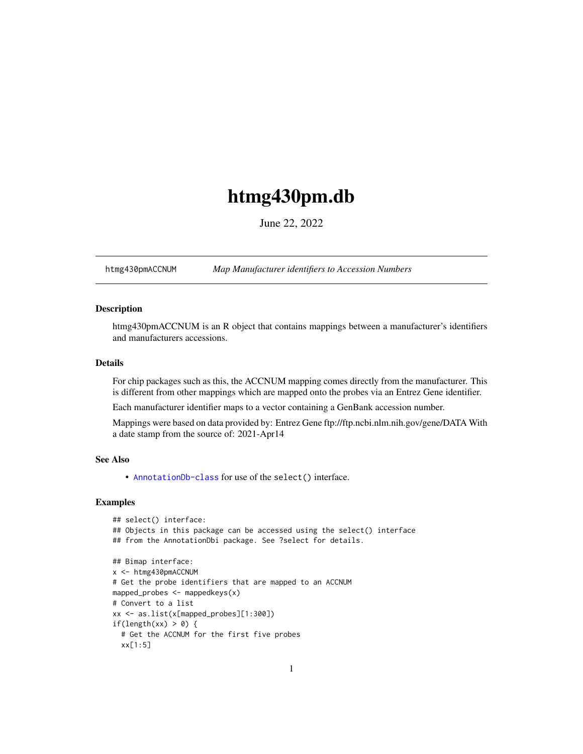## <span id="page-0-1"></span>htmg430pm.db

June 22, 2022

<span id="page-0-0"></span>htmg430pmACCNUM *Map Manufacturer identifiers to Accession Numbers*

#### Description

htmg430pmACCNUM is an R object that contains mappings between a manufacturer's identifiers and manufacturers accessions.

## Details

For chip packages such as this, the ACCNUM mapping comes directly from the manufacturer. This is different from other mappings which are mapped onto the probes via an Entrez Gene identifier.

Each manufacturer identifier maps to a vector containing a GenBank accession number.

Mappings were based on data provided by: Entrez Gene ftp://ftp.ncbi.nlm.nih.gov/gene/DATA With a date stamp from the source of: 2021-Apr14

## See Also

• AnnotationDb-class for use of the select() interface.

```
## select() interface:
## Objects in this package can be accessed using the select() interface
## from the AnnotationDbi package. See ?select for details.
## Bimap interface:
x <- htmg430pmACCNUM
# Get the probe identifiers that are mapped to an ACCNUM
mapped_probes <- mappedkeys(x)
# Convert to a list
xx <- as.list(x[mapped_probes][1:300])
if(length(xx) > 0) {
  # Get the ACCNUM for the first five probes
  xx[1:5]
```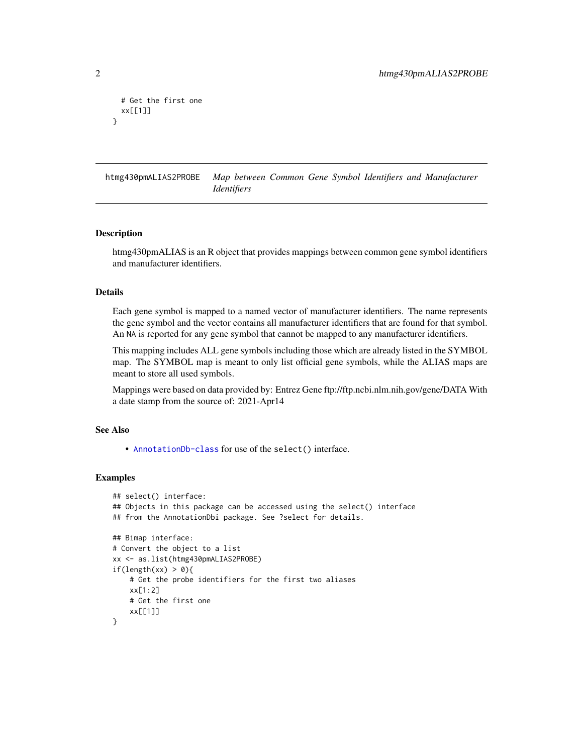```
# Get the first one
 xx[[1]]
}
```
htmg430pmALIAS2PROBE *Map between Common Gene Symbol Identifiers and Manufacturer Identifiers*

#### Description

htmg430pmALIAS is an R object that provides mappings between common gene symbol identifiers and manufacturer identifiers.

## Details

Each gene symbol is mapped to a named vector of manufacturer identifiers. The name represents the gene symbol and the vector contains all manufacturer identifiers that are found for that symbol. An NA is reported for any gene symbol that cannot be mapped to any manufacturer identifiers.

This mapping includes ALL gene symbols including those which are already listed in the SYMBOL map. The SYMBOL map is meant to only list official gene symbols, while the ALIAS maps are meant to store all used symbols.

Mappings were based on data provided by: Entrez Gene ftp://ftp.ncbi.nlm.nih.gov/gene/DATA With a date stamp from the source of: 2021-Apr14

## See Also

• [AnnotationDb-class](#page-0-0) for use of the select() interface.

```
## select() interface:
## Objects in this package can be accessed using the select() interface
## from the AnnotationDbi package. See ?select for details.
## Bimap interface:
# Convert the object to a list
xx <- as.list(htmg430pmALIAS2PROBE)
if(length(xx) > 0){
    # Get the probe identifiers for the first two aliases
   xx[1:2]
   # Get the first one
   xx[[1]]
}
```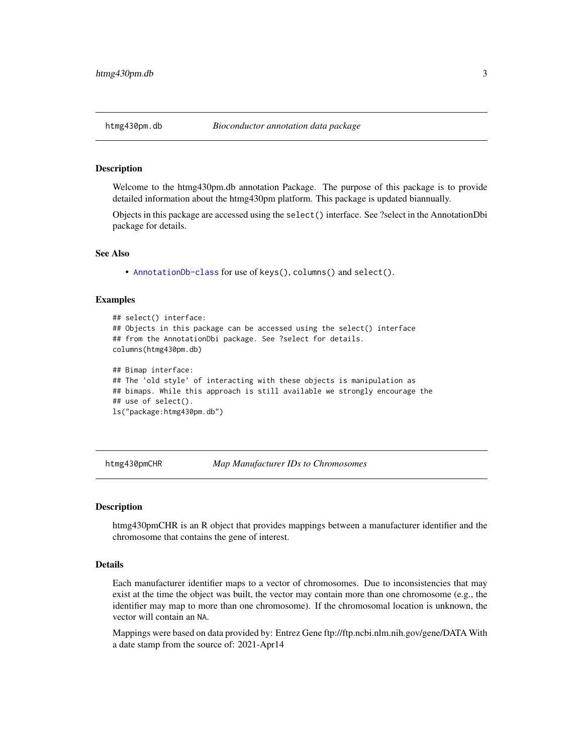<span id="page-2-0"></span>

#### Description

Welcome to the htmg430pm.db annotation Package. The purpose of this package is to provide detailed information about the htmg430pm platform. This package is updated biannually.

Objects in this package are accessed using the select() interface. See ?select in the AnnotationDbi package for details.

#### See Also

• [AnnotationDb-class](#page-0-0) for use of keys(), columns() and select().

#### Examples

```
## select() interface:
## Objects in this package can be accessed using the select() interface
## from the AnnotationDbi package. See ?select for details.
columns(htmg430pm.db)
## Bimap interface:
## The 'old style' of interacting with these objects is manipulation as
## bimaps. While this approach is still available we strongly encourage the
## use of select().
ls("package:htmg430pm.db")
```
htmg430pmCHR *Map Manufacturer IDs to Chromosomes*

#### **Description**

htmg430pmCHR is an R object that provides mappings between a manufacturer identifier and the chromosome that contains the gene of interest.

## Details

Each manufacturer identifier maps to a vector of chromosomes. Due to inconsistencies that may exist at the time the object was built, the vector may contain more than one chromosome (e.g., the identifier may map to more than one chromosome). If the chromosomal location is unknown, the vector will contain an NA.

Mappings were based on data provided by: Entrez Gene ftp://ftp.ncbi.nlm.nih.gov/gene/DATA With a date stamp from the source of: 2021-Apr14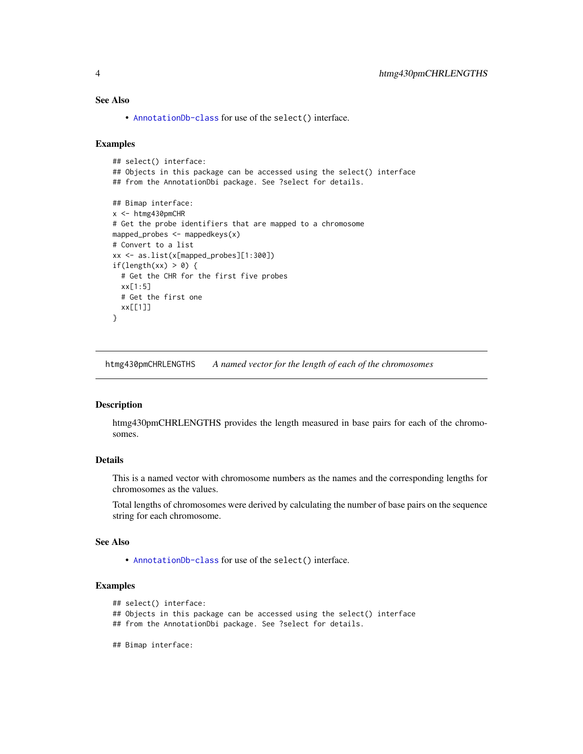## <span id="page-3-0"></span>See Also

• [AnnotationDb-class](#page-0-0) for use of the select() interface.

#### Examples

```
## select() interface:
## Objects in this package can be accessed using the select() interface
## from the AnnotationDbi package. See ?select for details.
## Bimap interface:
x <- htmg430pmCHR
# Get the probe identifiers that are mapped to a chromosome
mapped_probes <- mappedkeys(x)
# Convert to a list
xx <- as.list(x[mapped_probes][1:300])
if(length(xx) > 0) {
  # Get the CHR for the first five probes
  xx[1:5]
  # Get the first one
  xx[[1]]
}
```
htmg430pmCHRLENGTHS *A named vector for the length of each of the chromosomes*

#### Description

htmg430pmCHRLENGTHS provides the length measured in base pairs for each of the chromosomes.

## Details

This is a named vector with chromosome numbers as the names and the corresponding lengths for chromosomes as the values.

Total lengths of chromosomes were derived by calculating the number of base pairs on the sequence string for each chromosome.

## See Also

• [AnnotationDb-class](#page-0-0) for use of the select() interface.

## Examples

```
## select() interface:
```
## Objects in this package can be accessed using the select() interface

- ## from the AnnotationDbi package. See ?select for details.
- ## Bimap interface: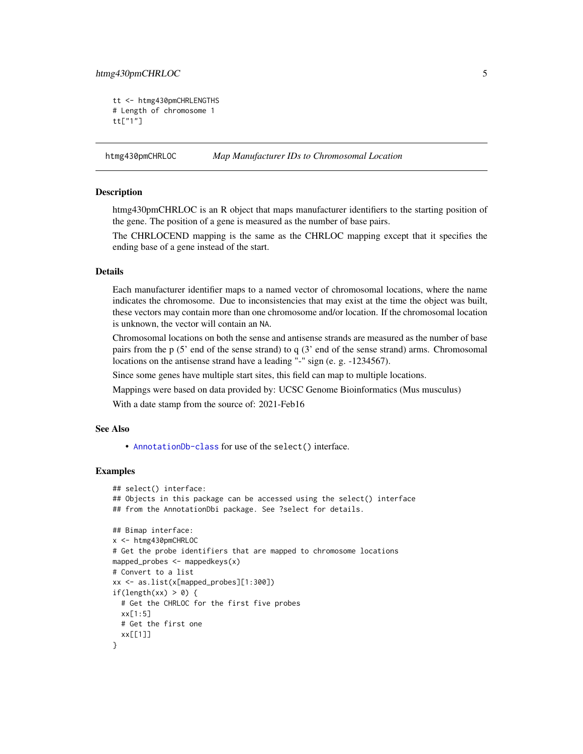## <span id="page-4-0"></span>htmg430pmCHRLOC 5

```
tt <- htmg430pmCHRLENGTHS
# Length of chromosome 1
tt["1"]
```
htmg430pmCHRLOC *Map Manufacturer IDs to Chromosomal Location*

## Description

htmg430pmCHRLOC is an R object that maps manufacturer identifiers to the starting position of the gene. The position of a gene is measured as the number of base pairs.

The CHRLOCEND mapping is the same as the CHRLOC mapping except that it specifies the ending base of a gene instead of the start.

## Details

Each manufacturer identifier maps to a named vector of chromosomal locations, where the name indicates the chromosome. Due to inconsistencies that may exist at the time the object was built, these vectors may contain more than one chromosome and/or location. If the chromosomal location is unknown, the vector will contain an NA.

Chromosomal locations on both the sense and antisense strands are measured as the number of base pairs from the p (5' end of the sense strand) to q (3' end of the sense strand) arms. Chromosomal locations on the antisense strand have a leading "-" sign (e. g. -1234567).

Since some genes have multiple start sites, this field can map to multiple locations.

Mappings were based on data provided by: UCSC Genome Bioinformatics (Mus musculus)

With a date stamp from the source of: 2021-Feb16

## See Also

• [AnnotationDb-class](#page-0-0) for use of the select() interface.

```
## select() interface:
## Objects in this package can be accessed using the select() interface
## from the AnnotationDbi package. See ?select for details.
## Bimap interface:
x <- htmg430pmCHRLOC
# Get the probe identifiers that are mapped to chromosome locations
mapped_probes <- mappedkeys(x)
# Convert to a list
xx <- as.list(x[mapped_probes][1:300])
if(length(xx) > 0) {
 # Get the CHRLOC for the first five probes
 xx[1:5]
 # Get the first one
 xx[[1]]
}
```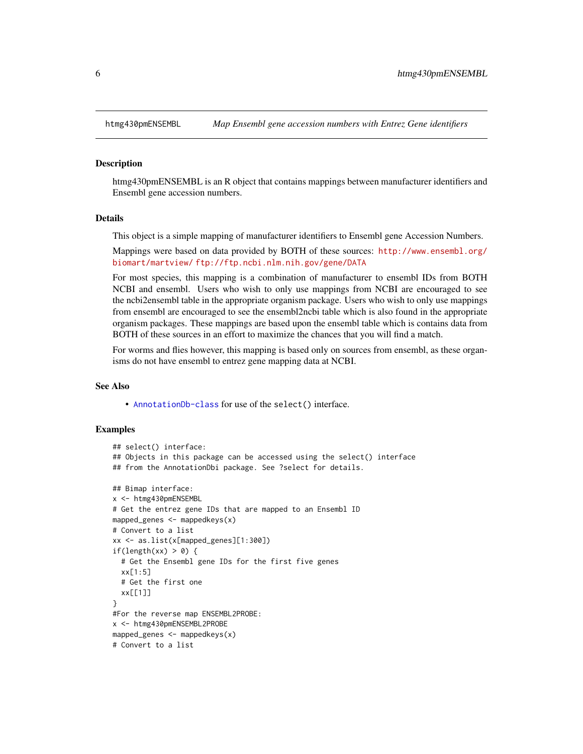<span id="page-5-0"></span>

#### Description

htmg430pmENSEMBL is an R object that contains mappings between manufacturer identifiers and Ensembl gene accession numbers.

#### Details

This object is a simple mapping of manufacturer identifiers to Ensembl gene Accession Numbers.

Mappings were based on data provided by BOTH of these sources: [http://www.ensembl.org/](http://www.ensembl.org/biomart/martview/) [biomart/martview/](http://www.ensembl.org/biomart/martview/) <ftp://ftp.ncbi.nlm.nih.gov/gene/DATA>

For most species, this mapping is a combination of manufacturer to ensembl IDs from BOTH NCBI and ensembl. Users who wish to only use mappings from NCBI are encouraged to see the ncbi2ensembl table in the appropriate organism package. Users who wish to only use mappings from ensembl are encouraged to see the ensembl2ncbi table which is also found in the appropriate organism packages. These mappings are based upon the ensembl table which is contains data from BOTH of these sources in an effort to maximize the chances that you will find a match.

For worms and flies however, this mapping is based only on sources from ensembl, as these organisms do not have ensembl to entrez gene mapping data at NCBI.

#### See Also

• [AnnotationDb-class](#page-0-0) for use of the select() interface.

```
## select() interface:
## Objects in this package can be accessed using the select() interface
## from the AnnotationDbi package. See ?select for details.
## Bimap interface:
x <- htmg430pmENSEMBL
# Get the entrez gene IDs that are mapped to an Ensembl ID
mapped_genes \leq mappedkeys(x)
# Convert to a list
xx <- as.list(x[mapped_genes][1:300])
if(length(xx) > 0) {
 # Get the Ensembl gene IDs for the first five genes
 xx[1:5]
 # Get the first one
 xx[[1]]
}
#For the reverse map ENSEMBL2PROBE:
x <- htmg430pmENSEMBL2PROBE
mapped_genes <- mappedkeys(x)
# Convert to a list
```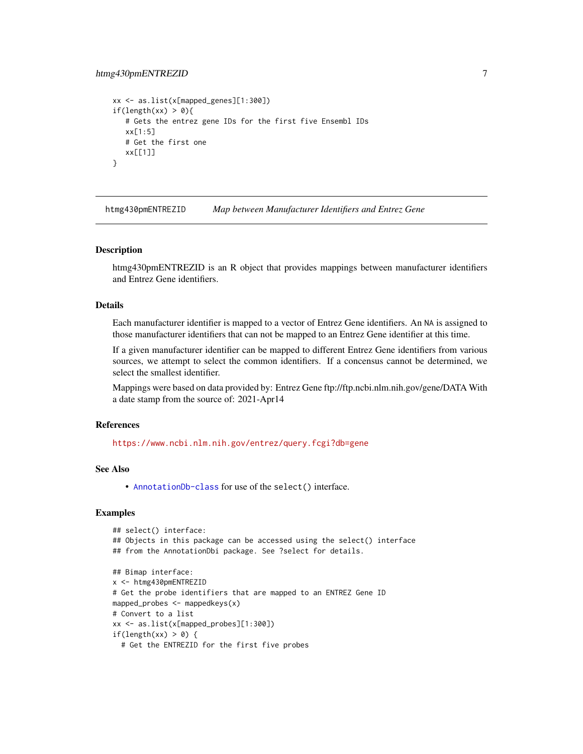## <span id="page-6-0"></span>htmg430pmENTREZID 7

```
xx <- as.list(x[mapped_genes][1:300])
if(length(xx) > 0){
  # Gets the entrez gene IDs for the first five Ensembl IDs
  xx[1:5]
  # Get the first one
  xx[[1]]
}
```
htmg430pmENTREZID *Map between Manufacturer Identifiers and Entrez Gene*

#### Description

htmg430pmENTREZID is an R object that provides mappings between manufacturer identifiers and Entrez Gene identifiers.

## Details

Each manufacturer identifier is mapped to a vector of Entrez Gene identifiers. An NA is assigned to those manufacturer identifiers that can not be mapped to an Entrez Gene identifier at this time.

If a given manufacturer identifier can be mapped to different Entrez Gene identifiers from various sources, we attempt to select the common identifiers. If a concensus cannot be determined, we select the smallest identifier.

Mappings were based on data provided by: Entrez Gene ftp://ftp.ncbi.nlm.nih.gov/gene/DATA With a date stamp from the source of: 2021-Apr14

## References

<https://www.ncbi.nlm.nih.gov/entrez/query.fcgi?db=gene>

## See Also

• [AnnotationDb-class](#page-0-0) for use of the select() interface.

```
## select() interface:
## Objects in this package can be accessed using the select() interface
## from the AnnotationDbi package. See ?select for details.
## Bimap interface:
x <- htmg430pmENTREZID
# Get the probe identifiers that are mapped to an ENTREZ Gene ID
mapped_probes <- mappedkeys(x)
# Convert to a list
xx <- as.list(x[mapped_probes][1:300])
if(length(xx) > 0) {
  # Get the ENTREZID for the first five probes
```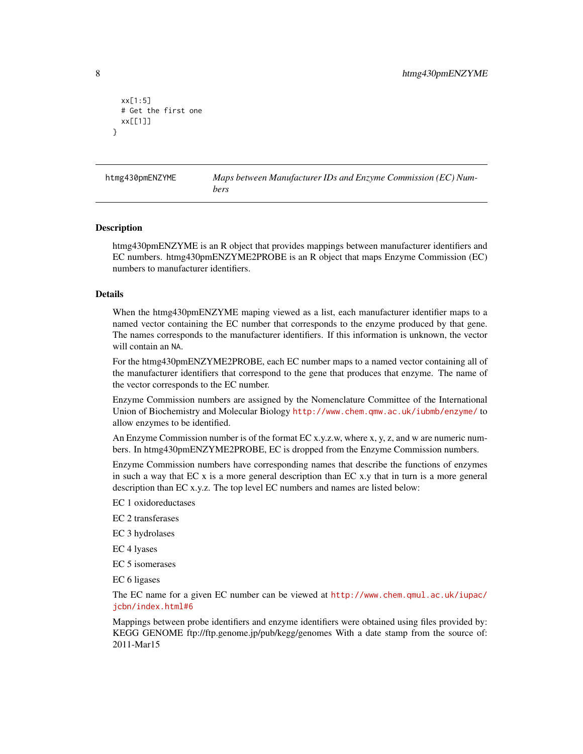```
xx[1:5]
 # Get the first one
 xx[[1]]
}
```
htmg430pmENZYME *Maps between Manufacturer IDs and Enzyme Commission (EC) Numbers*

#### Description

htmg430pmENZYME is an R object that provides mappings between manufacturer identifiers and EC numbers. htmg430pmENZYME2PROBE is an R object that maps Enzyme Commission (EC) numbers to manufacturer identifiers.

## Details

When the htmg430pmENZYME maping viewed as a list, each manufacturer identifier maps to a named vector containing the EC number that corresponds to the enzyme produced by that gene. The names corresponds to the manufacturer identifiers. If this information is unknown, the vector will contain an NA.

For the htmg430pmENZYME2PROBE, each EC number maps to a named vector containing all of the manufacturer identifiers that correspond to the gene that produces that enzyme. The name of the vector corresponds to the EC number.

Enzyme Commission numbers are assigned by the Nomenclature Committee of the International Union of Biochemistry and Molecular Biology <http://www.chem.qmw.ac.uk/iubmb/enzyme/> to allow enzymes to be identified.

An Enzyme Commission number is of the format EC x.y.z.w, where x, y, z, and w are numeric numbers. In htmg430pmENZYME2PROBE, EC is dropped from the Enzyme Commission numbers.

Enzyme Commission numbers have corresponding names that describe the functions of enzymes in such a way that EC x is a more general description than EC x.y that in turn is a more general description than EC x.y.z. The top level EC numbers and names are listed below:

EC 1 oxidoreductases

EC 2 transferases

EC 3 hydrolases

EC 4 lyases

EC 5 isomerases

EC 6 ligases

The EC name for a given EC number can be viewed at [http://www.chem.qmul.ac.uk/iupac/](http://www.chem.qmul.ac.uk/iupac/jcbn/index.html#6) [jcbn/index.html#6](http://www.chem.qmul.ac.uk/iupac/jcbn/index.html#6)

Mappings between probe identifiers and enzyme identifiers were obtained using files provided by: KEGG GENOME ftp://ftp.genome.jp/pub/kegg/genomes With a date stamp from the source of: 2011-Mar15

<span id="page-7-0"></span>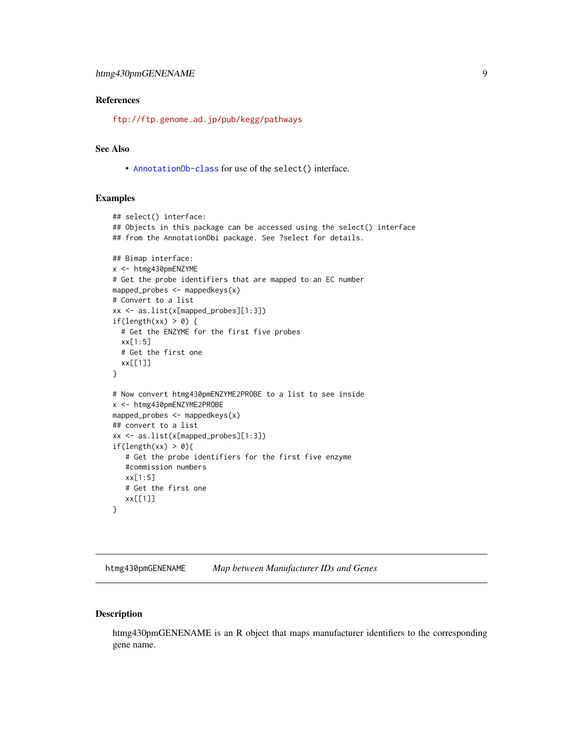## <span id="page-8-0"></span>References

<ftp://ftp.genome.ad.jp/pub/kegg/pathways>

## See Also

• [AnnotationDb-class](#page-0-0) for use of the select() interface.

#### Examples

```
## select() interface:
## Objects in this package can be accessed using the select() interface
## from the AnnotationDbi package. See ?select for details.
## Bimap interface:
x <- htmg430pmENZYME
# Get the probe identifiers that are mapped to an EC number
mapped_probes <- mappedkeys(x)
# Convert to a list
xx <- as.list(x[mapped_probes][1:3])
if(length(xx) > 0) {
  # Get the ENZYME for the first five probes
  xx[1:5]
  # Get the first one
  xx[[1]]
}
# Now convert htmg430pmENZYME2PROBE to a list to see inside
x <- htmg430pmENZYME2PROBE
mapped_probes \leq mappedkeys(x)
## convert to a list
xx <- as.list(x[mapped_probes][1:3])
if(length(xx) > 0){
   # Get the probe identifiers for the first five enzyme
   #commission numbers
   xx[1:5]
   # Get the first one
   xx[[1]]
}
```
htmg430pmGENENAME *Map between Manufacturer IDs and Genes*

## Description

htmg430pmGENENAME is an R object that maps manufacturer identifiers to the corresponding gene name.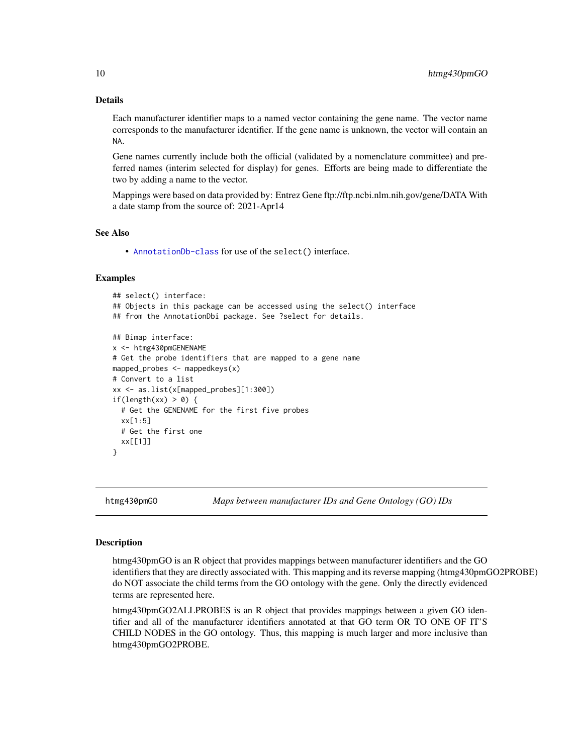## Details

Each manufacturer identifier maps to a named vector containing the gene name. The vector name corresponds to the manufacturer identifier. If the gene name is unknown, the vector will contain an NA.

Gene names currently include both the official (validated by a nomenclature committee) and preferred names (interim selected for display) for genes. Efforts are being made to differentiate the two by adding a name to the vector.

Mappings were based on data provided by: Entrez Gene ftp://ftp.ncbi.nlm.nih.gov/gene/DATA With a date stamp from the source of: 2021-Apr14

#### See Also

• [AnnotationDb-class](#page-0-0) for use of the select() interface.

### Examples

```
## select() interface:
## Objects in this package can be accessed using the select() interface
## from the AnnotationDbi package. See ?select for details.
## Bimap interface:
x <- htmg430pmGENENAME
# Get the probe identifiers that are mapped to a gene name
mapped_probes \leq mappedkeys(x)
# Convert to a list
xx <- as.list(x[mapped_probes][1:300])
if(length(xx) > 0) {
  # Get the GENENAME for the first five probes
  xx[1:5]
  # Get the first one
  xx[[1]]
}
```
htmg430pmGO *Maps between manufacturer IDs and Gene Ontology (GO) IDs*

#### <span id="page-9-0"></span>Description

htmg430pmGO is an R object that provides mappings between manufacturer identifiers and the GO identifiers that they are directly associated with. This mapping and its reverse mapping (htmg430pmGO2PROBE) do NOT associate the child terms from the GO ontology with the gene. Only the directly evidenced terms are represented here.

htmg430pmGO2ALLPROBES is an R object that provides mappings between a given GO identifier and all of the manufacturer identifiers annotated at that GO term OR TO ONE OF IT'S CHILD NODES in the GO ontology. Thus, this mapping is much larger and more inclusive than htmg430pmGO2PROBE.

<span id="page-9-1"></span>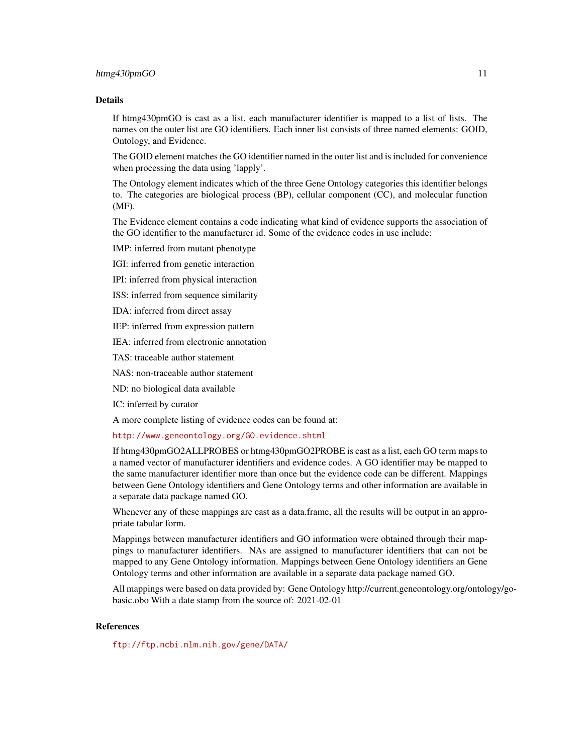#### htmg430pmGO 11

#### Details

If htmg430pmGO is cast as a list, each manufacturer identifier is mapped to a list of lists. The names on the outer list are GO identifiers. Each inner list consists of three named elements: GOID, Ontology, and Evidence.

The GOID element matches the GO identifier named in the outer list and is included for convenience when processing the data using 'lapply'.

The Ontology element indicates which of the three Gene Ontology categories this identifier belongs to. The categories are biological process (BP), cellular component (CC), and molecular function (MF).

The Evidence element contains a code indicating what kind of evidence supports the association of the GO identifier to the manufacturer id. Some of the evidence codes in use include:

IMP: inferred from mutant phenotype

IGI: inferred from genetic interaction

IPI: inferred from physical interaction

ISS: inferred from sequence similarity

IDA: inferred from direct assay

IEP: inferred from expression pattern

IEA: inferred from electronic annotation

TAS: traceable author statement

NAS: non-traceable author statement

ND: no biological data available

IC: inferred by curator

A more complete listing of evidence codes can be found at:

<http://www.geneontology.org/GO.evidence.shtml>

If htmg430pmGO2ALLPROBES or htmg430pmGO2PROBE is cast as a list, each GO term maps to a named vector of manufacturer identifiers and evidence codes. A GO identifier may be mapped to the same manufacturer identifier more than once but the evidence code can be different. Mappings between Gene Ontology identifiers and Gene Ontology terms and other information are available in a separate data package named GO.

Whenever any of these mappings are cast as a data.frame, all the results will be output in an appropriate tabular form.

Mappings between manufacturer identifiers and GO information were obtained through their mappings to manufacturer identifiers. NAs are assigned to manufacturer identifiers that can not be mapped to any Gene Ontology information. Mappings between Gene Ontology identifiers an Gene Ontology terms and other information are available in a separate data package named GO.

All mappings were based on data provided by: Gene Ontology http://current.geneontology.org/ontology/gobasic.obo With a date stamp from the source of: 2021-02-01

## References

<ftp://ftp.ncbi.nlm.nih.gov/gene/DATA/>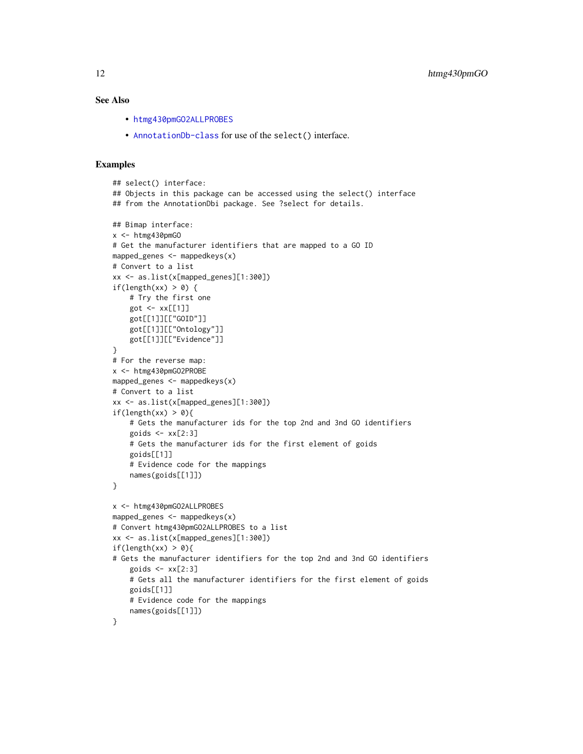## <span id="page-11-0"></span>See Also

- [htmg430pmGO2ALLPROBES](#page-9-0)
- [AnnotationDb-class](#page-0-0) for use of the select() interface.

```
## select() interface:
## Objects in this package can be accessed using the select() interface
## from the AnnotationDbi package. See ?select for details.
## Bimap interface:
x <- htmg430pmGO
# Get the manufacturer identifiers that are mapped to a GO ID
mapped_genes <- mappedkeys(x)
# Convert to a list
xx <- as.list(x[mapped_genes][1:300])
if(length(xx) > 0) {
    # Try the first one
   got \leq -xx[[1]]got[[1]][["GOID"]]
    got[[1]][["Ontology"]]
    got[[1]][["Evidence"]]
}
# For the reverse map:
x <- htmg430pmGO2PROBE
mapped_genes <- mappedkeys(x)
# Convert to a list
xx <- as.list(x[mapped_genes][1:300])
if(length(xx) > 0){
    # Gets the manufacturer ids for the top 2nd and 3nd GO identifiers
    goids \leq -x \times [2:3]# Gets the manufacturer ids for the first element of goids
    goids[[1]]
    # Evidence code for the mappings
   names(goids[[1]])
}
x <- htmg430pmGO2ALLPROBES
mapped_genes <- mappedkeys(x)
# Convert htmg430pmGO2ALLPROBES to a list
xx <- as.list(x[mapped_genes][1:300])
if(length(xx) > 0){
# Gets the manufacturer identifiers for the top 2nd and 3nd GO identifiers
    goids \leftarrow xx[2:3]# Gets all the manufacturer identifiers for the first element of goids
   goids[[1]]
    # Evidence code for the mappings
    names(goids[[1]])
}
```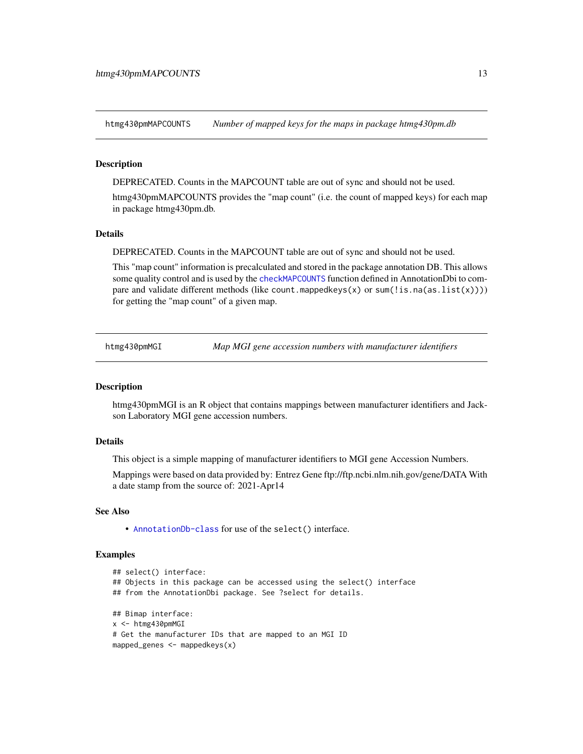<span id="page-12-0"></span>htmg430pmMAPCOUNTS *Number of mapped keys for the maps in package htmg430pm.db*

#### **Description**

DEPRECATED. Counts in the MAPCOUNT table are out of sync and should not be used.

htmg430pmMAPCOUNTS provides the "map count" (i.e. the count of mapped keys) for each map in package htmg430pm.db.

#### Details

DEPRECATED. Counts in the MAPCOUNT table are out of sync and should not be used.

This "map count" information is precalculated and stored in the package annotation DB. This allows some quality control and is used by the [checkMAPCOUNTS](#page-0-0) function defined in AnnotationDbi to compare and validate different methods (like count.mappedkeys(x) or sum(!is.na(as.list(x)))) for getting the "map count" of a given map.

htmg430pmMGI *Map MGI gene accession numbers with manufacturer identifiers*

#### **Description**

htmg430pmMGI is an R object that contains mappings between manufacturer identifiers and Jackson Laboratory MGI gene accession numbers.

#### Details

This object is a simple mapping of manufacturer identifiers to MGI gene Accession Numbers.

Mappings were based on data provided by: Entrez Gene ftp://ftp.ncbi.nlm.nih.gov/gene/DATA With a date stamp from the source of: 2021-Apr14

#### See Also

• [AnnotationDb-class](#page-0-0) for use of the select() interface.

```
## select() interface:
## Objects in this package can be accessed using the select() interface
## from the AnnotationDbi package. See ?select for details.
## Bimap interface:
x <- htmg430pmMGI
# Get the manufacturer IDs that are mapped to an MGI ID
mapped_genes <- mappedkeys(x)
```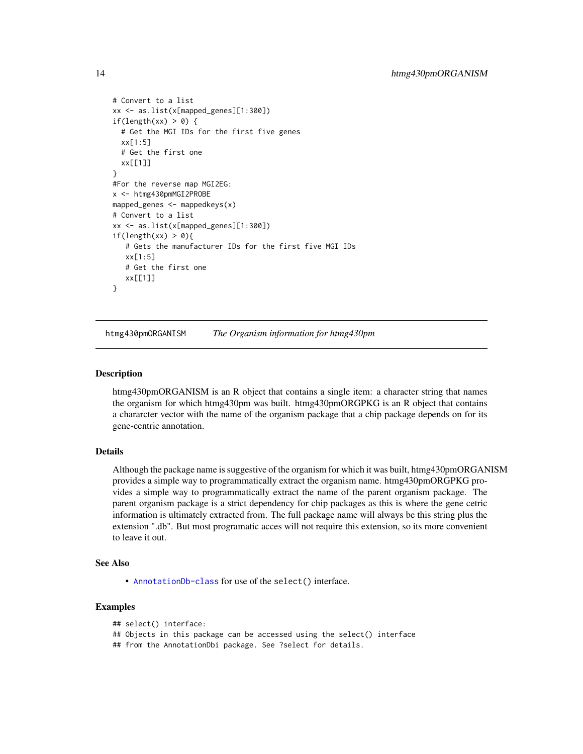```
# Convert to a list
xx <- as.list(x[mapped_genes][1:300])
if(length(xx) > 0) {
 # Get the MGI IDs for the first five genes
 xx[1:5]
 # Get the first one
 xx[[1]]
}
#For the reverse map MGI2EG:
x <- htmg430pmMGI2PROBE
mapped_genes <- mappedkeys(x)
# Convert to a list
xx <- as.list(x[mapped_genes][1:300])
if(length(xx) > 0){
   # Gets the manufacturer IDs for the first five MGI IDs
  xx[1:5]
  # Get the first one
  xx[[1]]
}
```
htmg430pmORGANISM *The Organism information for htmg430pm*

#### **Description**

htmg430pmORGANISM is an R object that contains a single item: a character string that names the organism for which htmg430pm was built. htmg430pmORGPKG is an R object that contains a chararcter vector with the name of the organism package that a chip package depends on for its gene-centric annotation.

## Details

Although the package name is suggestive of the organism for which it was built, htmg430pmORGANISM provides a simple way to programmatically extract the organism name. htmg430pmORGPKG provides a simple way to programmatically extract the name of the parent organism package. The parent organism package is a strict dependency for chip packages as this is where the gene cetric information is ultimately extracted from. The full package name will always be this string plus the extension ".db". But most programatic acces will not require this extension, so its more convenient to leave it out.

#### See Also

• [AnnotationDb-class](#page-0-0) for use of the select() interface.

```
## select() interface:
## Objects in this package can be accessed using the select() interface
## from the AnnotationDbi package. See ?select for details.
```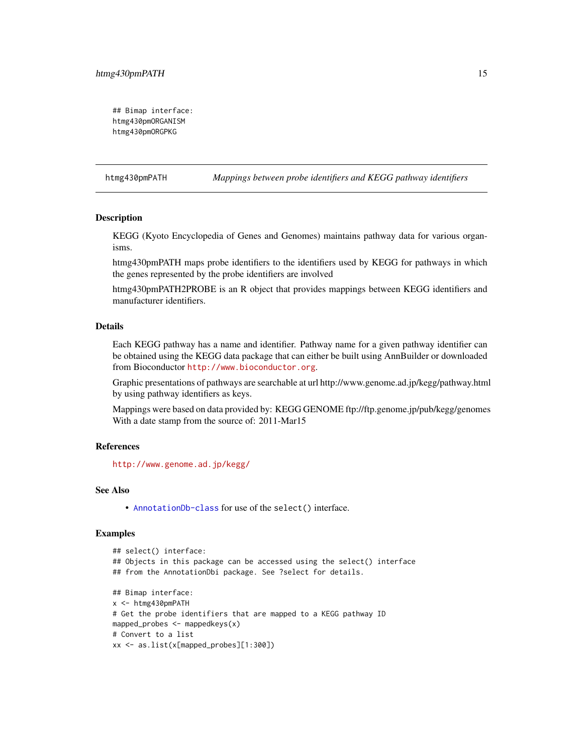```
## Bimap interface:
htmg430pmORGANISM
htmg430pmORGPKG
```
htmg430pmPATH *Mappings between probe identifiers and KEGG pathway identifiers*

## Description

KEGG (Kyoto Encyclopedia of Genes and Genomes) maintains pathway data for various organisms.

htmg430pmPATH maps probe identifiers to the identifiers used by KEGG for pathways in which the genes represented by the probe identifiers are involved

htmg430pmPATH2PROBE is an R object that provides mappings between KEGG identifiers and manufacturer identifiers.

#### Details

Each KEGG pathway has a name and identifier. Pathway name for a given pathway identifier can be obtained using the KEGG data package that can either be built using AnnBuilder or downloaded from Bioconductor <http://www.bioconductor.org>.

Graphic presentations of pathways are searchable at url http://www.genome.ad.jp/kegg/pathway.html by using pathway identifiers as keys.

Mappings were based on data provided by: KEGG GENOME ftp://ftp.genome.jp/pub/kegg/genomes With a date stamp from the source of: 2011-Mar15

## References

<http://www.genome.ad.jp/kegg/>

#### See Also

• [AnnotationDb-class](#page-0-0) for use of the select() interface.

```
## select() interface:
## Objects in this package can be accessed using the select() interface
## from the AnnotationDbi package. See ?select for details.
## Bimap interface:
x <- htmg430pmPATH
# Get the probe identifiers that are mapped to a KEGG pathway ID
mapped_probes <- mappedkeys(x)
# Convert to a list
xx <- as.list(x[mapped_probes][1:300])
```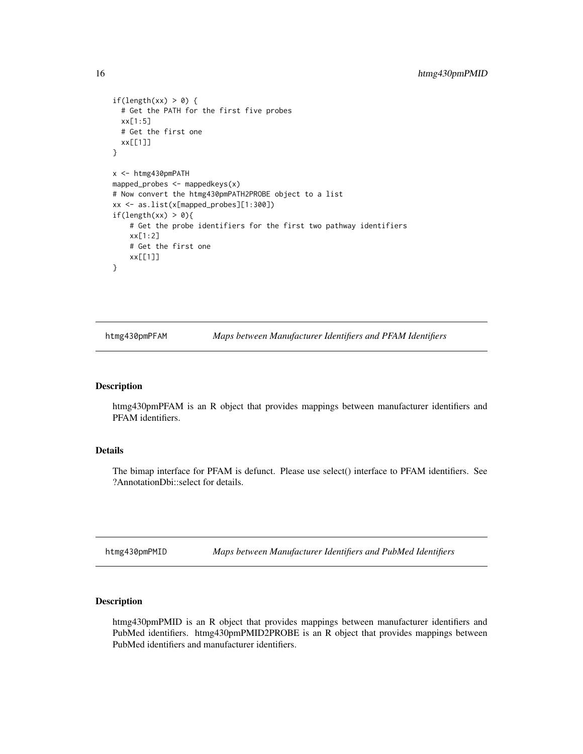```
if(length(xx) > 0) {
  # Get the PATH for the first five probes
  xx[1:5]
  # Get the first one
  xx[[1]]
}
x <- htmg430pmPATH
mapped_probes \leq mappedkeys(x)
# Now convert the htmg430pmPATH2PROBE object to a list
xx <- as.list(x[mapped_probes][1:300])
if(length(xx) > 0){
    # Get the probe identifiers for the first two pathway identifiers
    xx[1:2]
    # Get the first one
    xx[[1]]
}
```
htmg430pmPFAM *Maps between Manufacturer Identifiers and PFAM Identifiers*

#### Description

htmg430pmPFAM is an R object that provides mappings between manufacturer identifiers and PFAM identifiers.

## Details

The bimap interface for PFAM is defunct. Please use select() interface to PFAM identifiers. See ?AnnotationDbi::select for details.

htmg430pmPMID *Maps between Manufacturer Identifiers and PubMed Identifiers*

## Description

htmg430pmPMID is an R object that provides mappings between manufacturer identifiers and PubMed identifiers. htmg430pmPMID2PROBE is an R object that provides mappings between PubMed identifiers and manufacturer identifiers.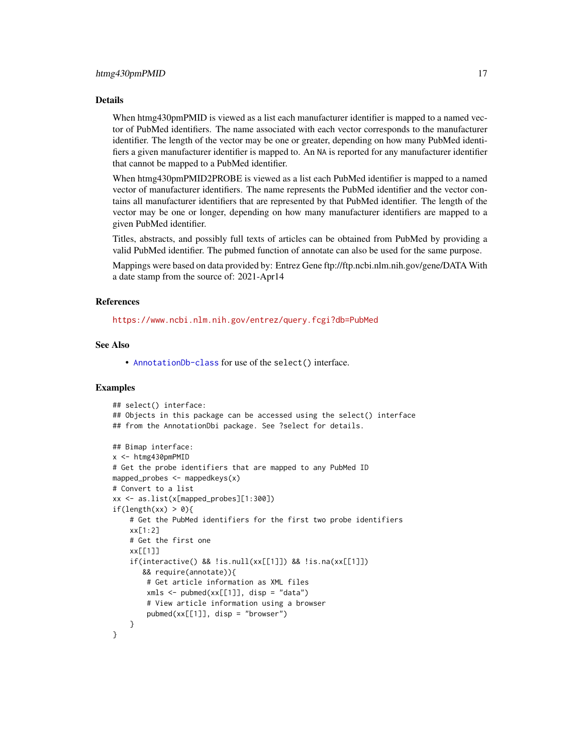#### Details

When htmg430pmPMID is viewed as a list each manufacturer identifier is mapped to a named vector of PubMed identifiers. The name associated with each vector corresponds to the manufacturer identifier. The length of the vector may be one or greater, depending on how many PubMed identifiers a given manufacturer identifier is mapped to. An NA is reported for any manufacturer identifier that cannot be mapped to a PubMed identifier.

When htmg430pmPMID2PROBE is viewed as a list each PubMed identifier is mapped to a named vector of manufacturer identifiers. The name represents the PubMed identifier and the vector contains all manufacturer identifiers that are represented by that PubMed identifier. The length of the vector may be one or longer, depending on how many manufacturer identifiers are mapped to a given PubMed identifier.

Titles, abstracts, and possibly full texts of articles can be obtained from PubMed by providing a valid PubMed identifier. The pubmed function of annotate can also be used for the same purpose.

Mappings were based on data provided by: Entrez Gene ftp://ftp.ncbi.nlm.nih.gov/gene/DATA With a date stamp from the source of: 2021-Apr14

#### References

<https://www.ncbi.nlm.nih.gov/entrez/query.fcgi?db=PubMed>

## See Also

• [AnnotationDb-class](#page-0-0) for use of the select() interface.

```
## select() interface:
## Objects in this package can be accessed using the select() interface
## from the AnnotationDbi package. See ?select for details.
## Bimap interface:
x <- htmg430pmPMID
# Get the probe identifiers that are mapped to any PubMed ID
mapped_probes \leq mappedkeys(x)
# Convert to a list
xx <- as.list(x[mapped_probes][1:300])
if(length(xx) > 0)# Get the PubMed identifiers for the first two probe identifiers
    xx[1:2]
    # Get the first one
    xx[[1]]
    if(interactive() && !is.null(xx[[1]]) && !is.na(xx[[1]])
       && require(annotate)){
        # Get article information as XML files
        xmls < -pubmed(xx[[1]], disp = "data")# View article information using a browser
        pubmed(xx[[1]], disp = "browser")
    }
}
```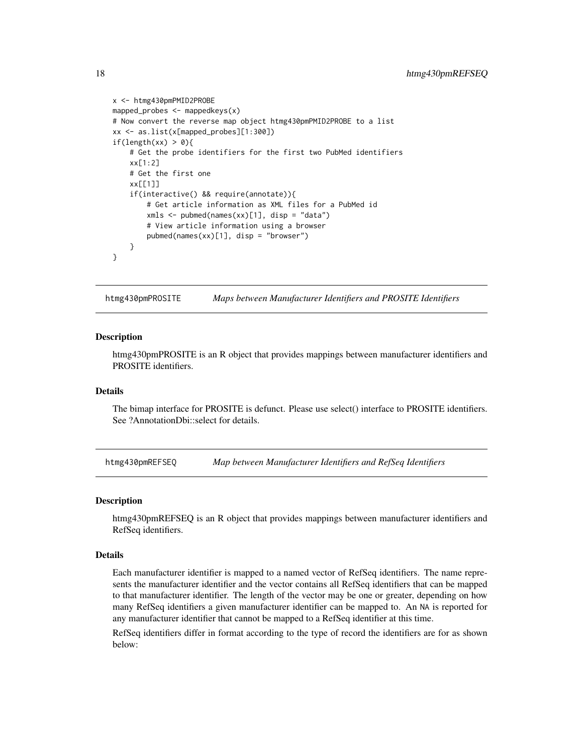```
x <- htmg430pmPMID2PROBE
mapped_probes <- mappedkeys(x)
# Now convert the reverse map object htmg430pmPMID2PROBE to a list
xx <- as.list(x[mapped_probes][1:300])
if(length(xx) > 0){
    # Get the probe identifiers for the first two PubMed identifiers
    xx[1:2]
    # Get the first one
   xx[[1]]
    if(interactive() && require(annotate)){
       # Get article information as XML files for a PubMed id
       xmls <- pubmed(names(xx)[1], disp = "data")
       # View article information using a browser
       pubmed(names(xx)[1], disp = "browser")
   }
}
```
htmg430pmPROSITE *Maps between Manufacturer Identifiers and PROSITE Identifiers*

#### **Description**

htmg430pmPROSITE is an R object that provides mappings between manufacturer identifiers and PROSITE identifiers.

## Details

The bimap interface for PROSITE is defunct. Please use select() interface to PROSITE identifiers. See ?AnnotationDbi::select for details.

htmg430pmREFSEQ *Map between Manufacturer Identifiers and RefSeq Identifiers*

#### Description

htmg430pmREFSEQ is an R object that provides mappings between manufacturer identifiers and RefSeq identifiers.

#### Details

Each manufacturer identifier is mapped to a named vector of RefSeq identifiers. The name represents the manufacturer identifier and the vector contains all RefSeq identifiers that can be mapped to that manufacturer identifier. The length of the vector may be one or greater, depending on how many RefSeq identifiers a given manufacturer identifier can be mapped to. An NA is reported for any manufacturer identifier that cannot be mapped to a RefSeq identifier at this time.

RefSeq identifiers differ in format according to the type of record the identifiers are for as shown below:

<span id="page-17-0"></span>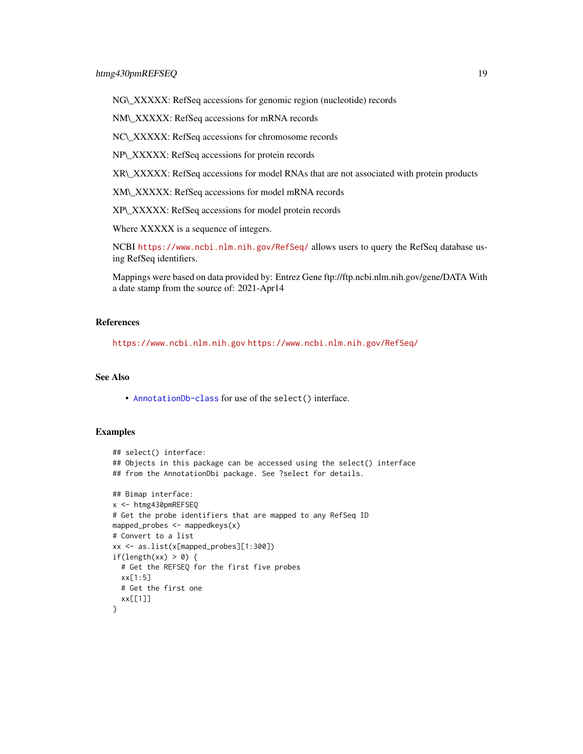NG\\_XXXXX: RefSeq accessions for genomic region (nucleotide) records

NM\\_XXXXX: RefSeq accessions for mRNA records

NC\\_XXXXX: RefSeq accessions for chromosome records

NP\\_XXXXX: RefSeq accessions for protein records

XR\\_XXXXX: RefSeq accessions for model RNAs that are not associated with protein products

XM\\_XXXXX: RefSeq accessions for model mRNA records

XP\\_XXXXX: RefSeq accessions for model protein records

Where XXXXX is a sequence of integers.

NCBI <https://www.ncbi.nlm.nih.gov/RefSeq/> allows users to query the RefSeq database using RefSeq identifiers.

Mappings were based on data provided by: Entrez Gene ftp://ftp.ncbi.nlm.nih.gov/gene/DATA With a date stamp from the source of: 2021-Apr14

## References

<https://www.ncbi.nlm.nih.gov> <https://www.ncbi.nlm.nih.gov/RefSeq/>

## See Also

• [AnnotationDb-class](#page-0-0) for use of the select() interface.

```
## select() interface:
## Objects in this package can be accessed using the select() interface
## from the AnnotationDbi package. See ?select for details.
## Bimap interface:
x <- htmg430pmREFSEQ
# Get the probe identifiers that are mapped to any RefSeq ID
mapped_probes \leq mappedkeys(x)
# Convert to a list
xx <- as.list(x[mapped_probes][1:300])
if(length(xx) > 0) {
  # Get the REFSEQ for the first five probes
  xx[1:5]
  # Get the first one
  xx[[1]]
}
```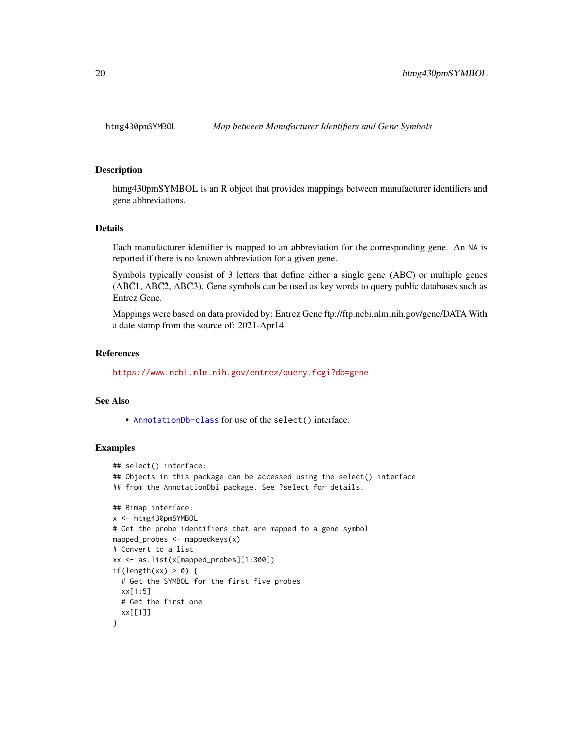<span id="page-19-0"></span>

#### Description

htmg430pmSYMBOL is an R object that provides mappings between manufacturer identifiers and gene abbreviations.

#### Details

Each manufacturer identifier is mapped to an abbreviation for the corresponding gene. An NA is reported if there is no known abbreviation for a given gene.

Symbols typically consist of 3 letters that define either a single gene (ABC) or multiple genes (ABC1, ABC2, ABC3). Gene symbols can be used as key words to query public databases such as Entrez Gene.

Mappings were based on data provided by: Entrez Gene ftp://ftp.ncbi.nlm.nih.gov/gene/DATA With a date stamp from the source of: 2021-Apr14

#### References

<https://www.ncbi.nlm.nih.gov/entrez/query.fcgi?db=gene>

#### See Also

• [AnnotationDb-class](#page-0-0) for use of the select() interface.

```
## select() interface:
## Objects in this package can be accessed using the select() interface
## from the AnnotationDbi package. See ?select for details.
## Bimap interface:
x <- htmg430pmSYMBOL
# Get the probe identifiers that are mapped to a gene symbol
mapped_probes <- mappedkeys(x)
# Convert to a list
xx <- as.list(x[mapped_probes][1:300])
if(length(xx) > 0) {
  # Get the SYMBOL for the first five probes
  xx[1:5]
  # Get the first one
  xx[[1]]
}
```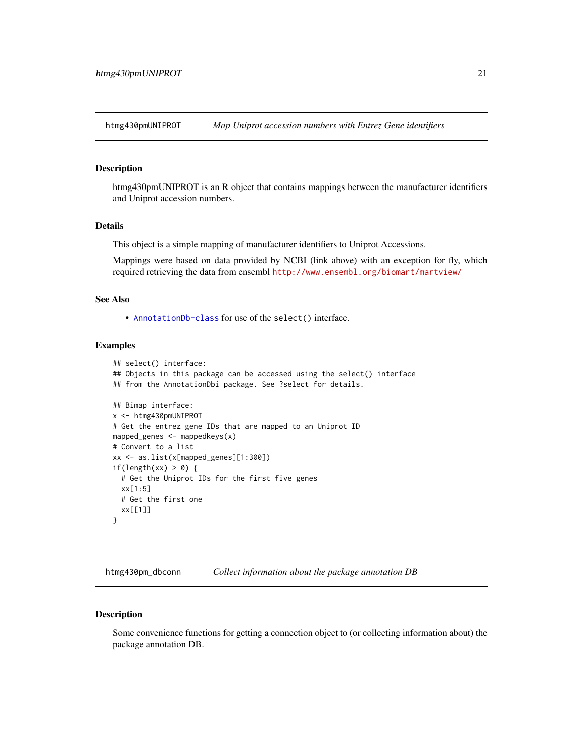<span id="page-20-0"></span>htmg430pmUNIPROT *Map Uniprot accession numbers with Entrez Gene identifiers*

#### **Description**

htmg430pmUNIPROT is an R object that contains mappings between the manufacturer identifiers and Uniprot accession numbers.

#### Details

This object is a simple mapping of manufacturer identifiers to Uniprot Accessions.

Mappings were based on data provided by NCBI (link above) with an exception for fly, which required retrieving the data from ensembl <http://www.ensembl.org/biomart/martview/>

## See Also

• [AnnotationDb-class](#page-0-0) for use of the select() interface.

## Examples

```
## select() interface:
## Objects in this package can be accessed using the select() interface
## from the AnnotationDbi package. See ?select for details.
## Bimap interface:
x <- htmg430pmUNIPROT
# Get the entrez gene IDs that are mapped to an Uniprot ID
mapped_genes \leq mappedkeys(x)
# Convert to a list
xx <- as.list(x[mapped_genes][1:300])
if(length(xx) > 0) {
  # Get the Uniprot IDs for the first five genes
  xx[1:5]
  # Get the first one
  xx[[1]]
}
```
htmg430pm\_dbconn *Collect information about the package annotation DB*

#### Description

Some convenience functions for getting a connection object to (or collecting information about) the package annotation DB.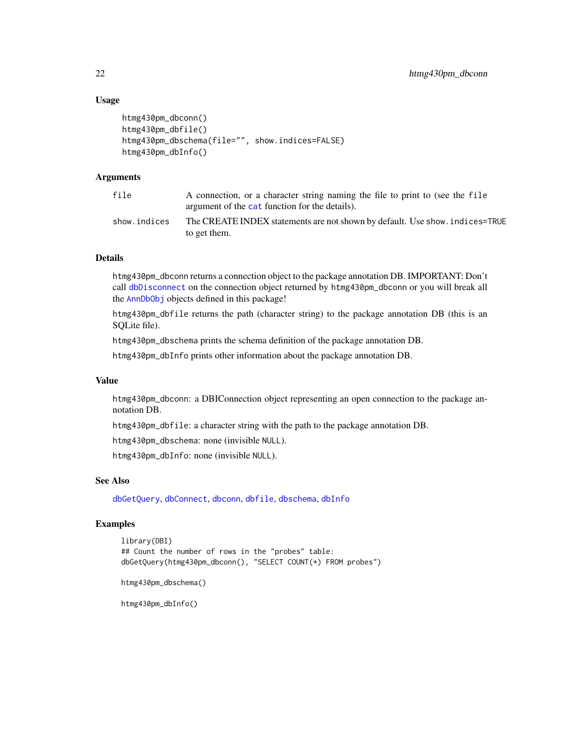## Usage

```
htmg430pm_dbconn()
htmg430pm_dbfile()
htmg430pm_dbschema(file="", show.indices=FALSE)
htmg430pm_dbInfo()
```
## Arguments

| file         | A connection, or a character string naming the file to print to (see the file<br>argument of the cat function for the details). |
|--------------|---------------------------------------------------------------------------------------------------------------------------------|
| show.indices | The CREATE INDEX statements are not shown by default. Use show, indices=TRUE<br>to get them.                                    |

#### Details

htmg430pm\_dbconn returns a connection object to the package annotation DB. IMPORTANT: Don't call [dbDisconnect](#page-0-0) on the connection object returned by htmg430pm\_dbconn or you will break all the [AnnDbObj](#page-0-0) objects defined in this package!

htmg430pm\_dbfile returns the path (character string) to the package annotation DB (this is an SQLite file).

htmg430pm\_dbschema prints the schema definition of the package annotation DB.

htmg430pm\_dbInfo prints other information about the package annotation DB.

#### Value

htmg430pm\_dbconn: a DBIConnection object representing an open connection to the package annotation DB.

htmg430pm\_dbfile: a character string with the path to the package annotation DB.

htmg430pm\_dbschema: none (invisible NULL).

htmg430pm\_dbInfo: none (invisible NULL).

## See Also

[dbGetQuery](#page-0-0), [dbConnect](#page-0-0), [dbconn](#page-0-0), [dbfile](#page-0-0), [dbschema](#page-0-0), [dbInfo](#page-0-0)

## Examples

```
library(DBI)
## Count the number of rows in the "probes" table:
dbGetQuery(htmg430pm_dbconn(), "SELECT COUNT(*) FROM probes")
```
htmg430pm\_dbschema()

htmg430pm\_dbInfo()

<span id="page-21-0"></span>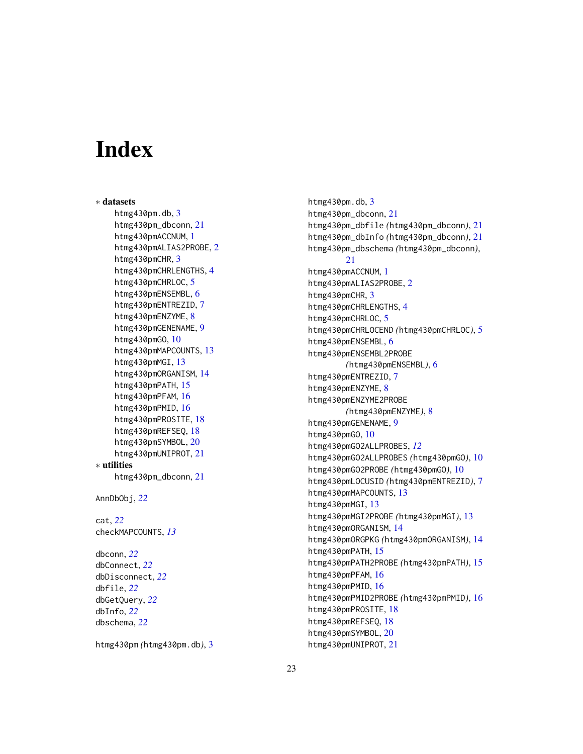# Index

∗ datasets htmg4[3](#page-2-0)0pm.db, 3 htmg430pm\_dbconn , [21](#page-20-0) htmg430pmACCNUM , [1](#page-0-1) htmg430pmALIAS[2](#page-1-0)PROBE, 2 htmg4[3](#page-2-0)0pmCHR, 3 htmg[4](#page-3-0)30pmCHRLENGTHS, 4 htmg430pmCHRLOC, [5](#page-4-0) htmg430pmENSEMBL, [6](#page-5-0) htmg430pmENTREZID , [7](#page-6-0) htmg430pmENZYME, [8](#page-7-0) htmg430pmGENENAME , [9](#page-8-0) htmg430pmGO , [10](#page-9-1) htmg430pmMAPCOUNTS, [13](#page-12-0) htmg430pmMGI , [13](#page-12-0) htmg430pmORGANISM , [14](#page-13-0) htmg430pmPATH, [15](#page-14-0) htmg430pmPFAM, [16](#page-15-0) htmg430pmPMID, [16](#page-15-0) htmg430pmPROSITE , [18](#page-17-0) htmg430pmREFSEQ , [18](#page-17-0) htmg430pmSYMBOL , [20](#page-19-0) htmg430pmUNIPROT , [21](#page-20-0) ∗ utilities htmg430pm\_dbconn , [21](#page-20-0) AnnDbObj , *[22](#page-21-0)* cat , *[22](#page-21-0)* checkMAPCOUNTS , *[13](#page-12-0)* dbconn , *[22](#page-21-0)* dbConnect , *[22](#page-21-0)* dbDisconnect , *[22](#page-21-0)* dbfile , *[22](#page-21-0)* dbGetQuery , *[22](#page-21-0)*

htmg430pm *(*htmg430pm.db *)* , [3](#page-2-0)

dbInfo , *[22](#page-21-0)* dbschema , *[22](#page-21-0)*

htmg4[3](#page-2-0)0pm.db, 3 htmg430pm\_dbconn , [21](#page-20-0) htmg430pm\_dbfile *(*htmg430pm\_dbconn *)* , [21](#page-20-0) htmg430pm\_dbInfo *(*htmg430pm\_dbconn *)* , [21](#page-20-0) htmg430pm\_dbschema *(*htmg430pm\_dbconn *)* , [21](#page-20-0) htmg430pmACCNUM , [1](#page-0-1) htmg430pmALIAS[2](#page-1-0)PROBE,2 htmg4[3](#page-2-0)0pmCHR, 3 htmg[4](#page-3-0)30pmCHRLENGTHS, 4 htmg430pmCHRLOC, [5](#page-4-0) htmg430pmCHRLOCEND *(*htmg430pmCHRLOC *)* , [5](#page-4-0) htmg430pmENSEMBL, [6](#page-5-0) htmg430pmENSEMBL2PROBE *(*htmg430pmENSEMBL *)* , [6](#page-5-0) htmg430pmENTREZID , [7](#page-6-0) htmg430pmENZYME, [8](#page-7-0) htmg430pmENZYME2PROBE *(*htmg430pmENZYME *)* , [8](#page-7-0) htmg430pmGENENAME , [9](#page-8-0) htmg430pmG0, [10](#page-9-1) htmg430pmGO2ALLPROBES , *[12](#page-11-0)* htmg430pmGO2ALLPROBES *(*htmg430pmGO *)* , [10](#page-9-1) htmg430pmGO2PROBE *(*htmg430pmGO *)* , [10](#page-9-1) htmg430pmLOCUSID *(*htmg430pmENTREZID *)* , [7](#page-6-0) htmg430pmMAPCOUNTS, [13](#page-12-0) htmg430pmMGI, [13](#page-12-0) htmg430pmMGI2PROBE *(*htmg430pmMGI *)* , [13](#page-12-0) htmg430pmORGANISM , [14](#page-13-0) htmg430pmORGPKG *(*htmg430pmORGANISM *)* , [14](#page-13-0) htmg430pmPATH, [15](#page-14-0) htmg430pmPATH2PROBE *(*htmg430pmPATH *)* , [15](#page-14-0) htmg430pmPFAM, [16](#page-15-0) htmg430pmPMID, [16](#page-15-0) htmg430pmPMID2PROBE *(*htmg430pmPMID *)* , [16](#page-15-0) htmg430pmPROSITE , [18](#page-17-0) htmg430pmREFSEQ , [18](#page-17-0) htmg430pmSYMBOL, [20](#page-19-0) htmg430pmUNIPROT , [21](#page-20-0)